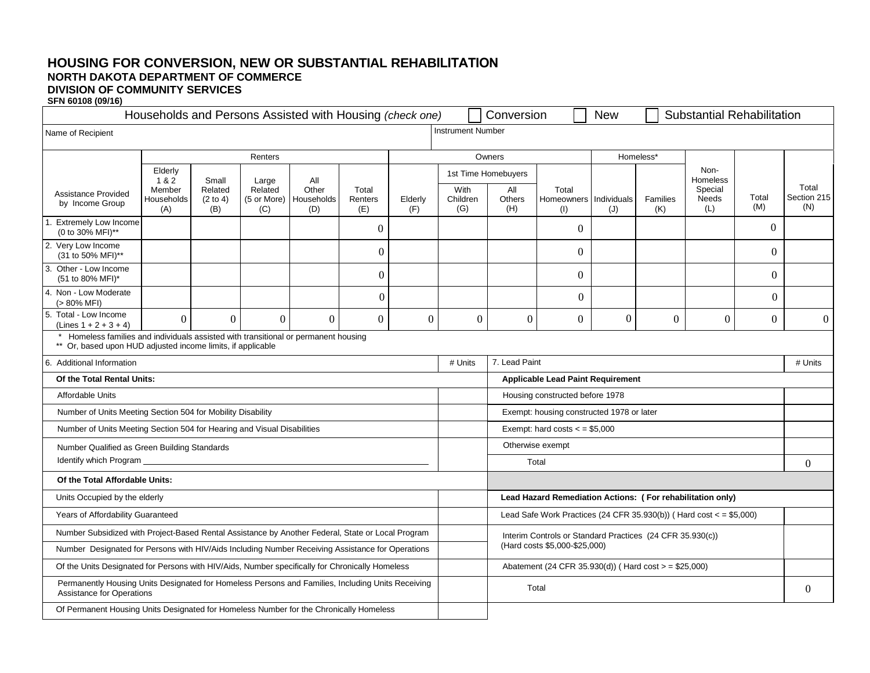## **HOUSING FOR CONVERSION, NEW OR SUBSTANTIAL REHABILITATION NORTH DAKOTA DEPARTMENT OF COMMERCE DIVISION OF COMMUNITY SERVICES**

**SFN 60108 (09/16)** 

| Households and Persons Assisted with Housing (check one)                                                                                         |                                    |                                                                |                                               |                         |                |                         |                                                                                            | Conversion                                                 | <b>New</b>     | <b>Substantial Rehabilitation</b> |                 |                                            |              |                             |          |
|--------------------------------------------------------------------------------------------------------------------------------------------------|------------------------------------|----------------------------------------------------------------|-----------------------------------------------|-------------------------|----------------|-------------------------|--------------------------------------------------------------------------------------------|------------------------------------------------------------|----------------|-----------------------------------|-----------------|--------------------------------------------|--------------|-----------------------------|----------|
| Name of Recipient                                                                                                                                |                                    |                                                                |                                               |                         |                |                         | <b>Instrument Number</b>                                                                   |                                                            |                |                                   |                 |                                            |              |                             |          |
| Renters                                                                                                                                          |                                    |                                                                |                                               |                         |                | Owners                  |                                                                                            |                                                            |                | Homeless*                         |                 |                                            |              |                             |          |
|                                                                                                                                                  | Elderly                            | Small<br>Large<br>Related<br>Related<br>(2 to 4)<br>(B)<br>(C) |                                               |                         |                |                         | 1st Time Homebuyers                                                                        |                                                            |                |                                   |                 |                                            | Non-         |                             |          |
| <b>Assistance Provided</b><br>by Income Group                                                                                                    | 1&2<br>Member<br>Households<br>(A) |                                                                | All<br>Other<br>(5 or More) Households<br>(D) | Total<br>Renters<br>(E) | Elderly<br>(F) | With<br>Children<br>(G) | All<br><b>Others</b><br>(H)                                                                | Total<br>Homeowners   Individuals<br>(1)                   | (J)            |                                   | Families<br>(K) | <b>Homeless</b><br>Special<br>Needs<br>(L) | Total<br>(M) | Total<br>Section 215<br>(N) |          |
| Extremely Low Income<br>(0 to 30% MFI)**                                                                                                         |                                    |                                                                |                                               |                         | $\Omega$       |                         |                                                                                            |                                                            | $\Omega$       |                                   |                 |                                            |              | $\theta$                    |          |
| 2. Very Low Income<br>(31 to 50% MFI)**                                                                                                          |                                    |                                                                |                                               |                         | $\Omega$       |                         |                                                                                            |                                                            | $\Omega$       |                                   |                 |                                            |              | $\theta$                    |          |
| 3. Other - Low Income<br>(51 to 80% MFI)*                                                                                                        |                                    |                                                                |                                               |                         | $\Omega$       |                         |                                                                                            |                                                            | $\Omega$       |                                   |                 |                                            |              | $\theta$                    |          |
| 4. Non - Low Moderate<br>$(> 80\% \text{ MFI})$                                                                                                  |                                    |                                                                |                                               |                         | $\Omega$       |                         |                                                                                            |                                                            | $\overline{0}$ |                                   |                 |                                            |              | $\Omega$                    |          |
| 5. Total - Low Income<br>$(Lines 1 + 2 + 3 + 4)$                                                                                                 | $\overline{0}$                     | $\theta$                                                       | $\Omega$                                      | $\Omega$                | $\Omega$       | $\overline{0}$          | $\boldsymbol{0}$                                                                           | $\boldsymbol{0}$                                           | $\overline{0}$ | $\Omega$                          |                 | $\Omega$                                   | $\Omega$     | $\boldsymbol{0}$            | $\theta$ |
| Homeless families and individuals assisted with transitional or permanent housing<br>** Or, based upon HUD adjusted income limits, if applicable |                                    |                                                                |                                               |                         |                |                         |                                                                                            |                                                            |                |                                   |                 |                                            |              |                             |          |
| 6. Additional Information                                                                                                                        |                                    |                                                                |                                               |                         |                | # Units                 | 7. Lead Paint                                                                              |                                                            |                |                                   |                 |                                            | # Units      |                             |          |
| Of the Total Rental Units:                                                                                                                       |                                    |                                                                |                                               |                         |                |                         | <b>Applicable Lead Paint Requirement</b>                                                   |                                                            |                |                                   |                 |                                            |              |                             |          |
| Affordable Units                                                                                                                                 |                                    |                                                                |                                               |                         |                |                         |                                                                                            | Housing constructed before 1978                            |                |                                   |                 |                                            |              |                             |          |
| Number of Units Meeting Section 504 for Mobility Disability                                                                                      |                                    |                                                                |                                               |                         |                |                         |                                                                                            | Exempt: housing constructed 1978 or later                  |                |                                   |                 |                                            |              |                             |          |
| Number of Units Meeting Section 504 for Hearing and Visual Disabilities                                                                          |                                    |                                                                |                                               |                         |                |                         |                                                                                            | Exempt: hard costs $\lt$ = \$5,000                         |                |                                   |                 |                                            |              |                             |          |
| Number Qualified as Green Building Standards                                                                                                     |                                    |                                                                |                                               |                         |                |                         | Otherwise exempt                                                                           |                                                            |                |                                   |                 |                                            |              |                             |          |
| Identify which Program                                                                                                                           |                                    |                                                                |                                               |                         |                |                         |                                                                                            | Total                                                      |                |                                   |                 |                                            |              |                             | $\Omega$ |
| Of the Total Affordable Units:                                                                                                                   |                                    |                                                                |                                               |                         |                |                         |                                                                                            |                                                            |                |                                   |                 |                                            |              |                             |          |
| Units Occupied by the elderly                                                                                                                    |                                    |                                                                |                                               |                         |                |                         |                                                                                            | Lead Hazard Remediation Actions: (For rehabilitation only) |                |                                   |                 |                                            |              |                             |          |
| Years of Affordability Guaranteed                                                                                                                |                                    |                                                                |                                               |                         |                |                         | Lead Safe Work Practices (24 CFR 35.930(b)) (Hard cost $\lt$ = \$5,000)                    |                                                            |                |                                   |                 |                                            |              |                             |          |
| Number Subsidized with Project-Based Rental Assistance by Another Federal, State or Local Program                                                |                                    |                                                                |                                               |                         |                |                         | Interim Controls or Standard Practices (24 CFR 35.930(c))<br>(Hard costs \$5,000-\$25,000) |                                                            |                |                                   |                 |                                            |              |                             |          |
| Number Designated for Persons with HIV/Aids Including Number Receiving Assistance for Operations                                                 |                                    |                                                                |                                               |                         |                |                         |                                                                                            |                                                            |                |                                   |                 |                                            |              |                             |          |
| Of the Units Designated for Persons with HIV/Aids, Number specifically for Chronically Homeless                                                  |                                    |                                                                |                                               |                         |                |                         |                                                                                            | Abatement (24 CFR 35.930(d)) (Hard cost > = \$25,000)      |                |                                   |                 |                                            |              |                             |          |
| Permanently Housing Units Designated for Homeless Persons and Families, Including Units Receiving<br><b>Assistance for Operations</b>            |                                    |                                                                |                                               |                         |                |                         |                                                                                            | Total                                                      |                |                                   |                 |                                            |              | $\Omega$                    |          |
| Of Permanent Housing Units Designated for Homeless Number for the Chronically Homeless                                                           |                                    |                                                                |                                               |                         |                |                         |                                                                                            |                                                            |                |                                   |                 |                                            |              |                             |          |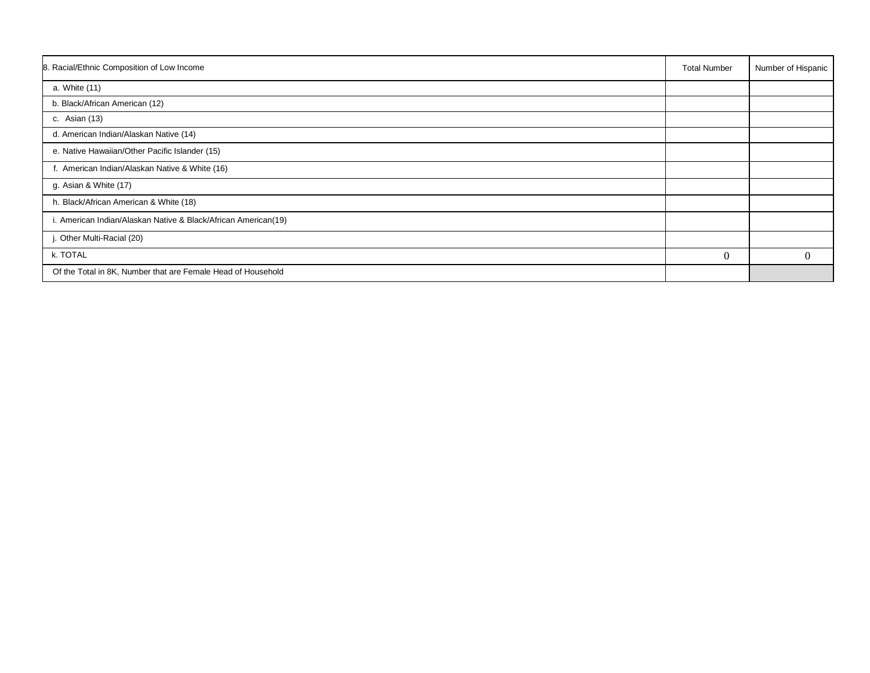| 8. Racial/Ethnic Composition of Low Income                     | <b>Total Number</b> | Number of Hispanic |
|----------------------------------------------------------------|---------------------|--------------------|
| a. White (11)                                                  |                     |                    |
| b. Black/African American (12)                                 |                     |                    |
| c. Asian (13)                                                  |                     |                    |
| d. American Indian/Alaskan Native (14)                         |                     |                    |
| e. Native Hawaiian/Other Pacific Islander (15)                 |                     |                    |
| f. American Indian/Alaskan Native & White (16)                 |                     |                    |
| g. Asian & White (17)                                          |                     |                    |
| h. Black/African American & White (18)                         |                     |                    |
| i. American Indian/Alaskan Native & Black/African American(19) |                     |                    |
| j. Other Multi-Racial (20)                                     |                     |                    |
| k. TOTAL                                                       | $\overline{0}$      | $\theta$           |
| Of the Total in 8K, Number that are Female Head of Household   |                     |                    |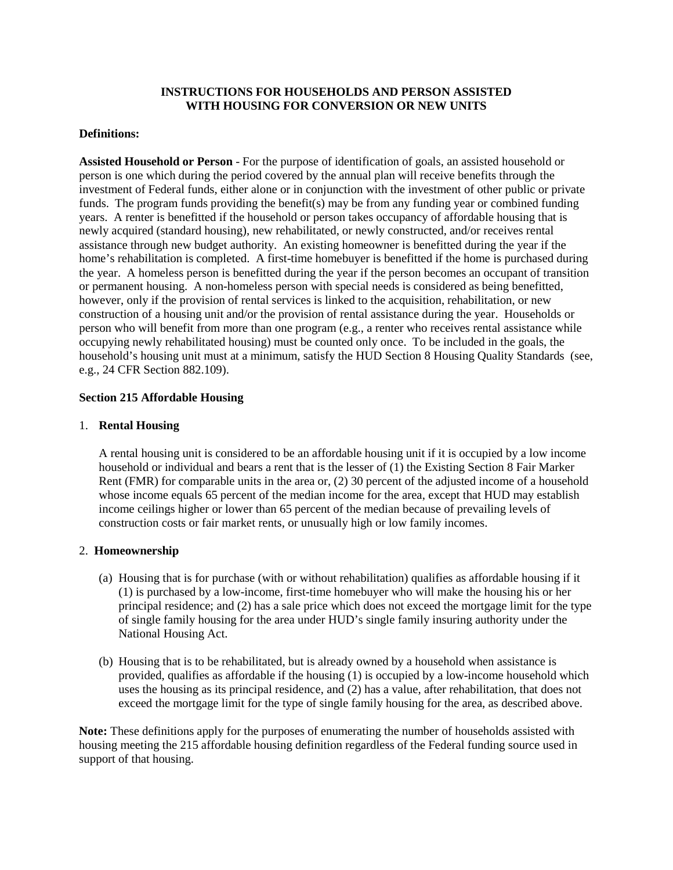## **INSTRUCTIONS FOR HOUSEHOLDS AND PERSON ASSISTED WITH HOUSING FOR CONVERSION OR NEW UNITS**

#### **Definitions:**

**Assisted Household or Person** - For the purpose of identification of goals, an assisted household or person is one which during the period covered by the annual plan will receive benefits through the investment of Federal funds, either alone or in conjunction with the investment of other public or private funds. The program funds providing the benefit(s) may be from any funding year or combined funding years. A renter is benefitted if the household or person takes occupancy of affordable housing that is newly acquired (standard housing), new rehabilitated, or newly constructed, and/or receives rental assistance through new budget authority. An existing homeowner is benefitted during the year if the home's rehabilitation is completed. A first-time homebuyer is benefitted if the home is purchased during the year. A homeless person is benefitted during the year if the person becomes an occupant of transition or permanent housing. A non-homeless person with special needs is considered as being benefitted, however, only if the provision of rental services is linked to the acquisition, rehabilitation, or new construction of a housing unit and/or the provision of rental assistance during the year. Households or person who will benefit from more than one program (e.g., a renter who receives rental assistance while occupying newly rehabilitated housing) must be counted only once. To be included in the goals, the household's housing unit must at a minimum, satisfy the HUD Section 8 Housing Quality Standards (see, e.g., 24 CFR Section 882.109).

## **Section 215 Affordable Housing**

### 1. **Rental Housing**

A rental housing unit is considered to be an affordable housing unit if it is occupied by a low income household or individual and bears a rent that is the lesser of (1) the Existing Section 8 Fair Marker Rent (FMR) for comparable units in the area or, (2) 30 percent of the adjusted income of a household whose income equals 65 percent of the median income for the area, except that HUD may establish income ceilings higher or lower than 65 percent of the median because of prevailing levels of construction costs or fair market rents, or unusually high or low family incomes.

## 2. **Homeownership**

- (a) Housing that is for purchase (with or without rehabilitation) qualifies as affordable housing if it (1) is purchased by a low-income, first-time homebuyer who will make the housing his or her principal residence; and (2) has a sale price which does not exceed the mortgage limit for the type of single family housing for the area under HUD's single family insuring authority under the National Housing Act.
- (b) Housing that is to be rehabilitated, but is already owned by a household when assistance is provided, qualifies as affordable if the housing (1) is occupied by a low-income household which uses the housing as its principal residence, and (2) has a value, after rehabilitation, that does not exceed the mortgage limit for the type of single family housing for the area, as described above.

**Note:** These definitions apply for the purposes of enumerating the number of households assisted with housing meeting the 215 affordable housing definition regardless of the Federal funding source used in support of that housing.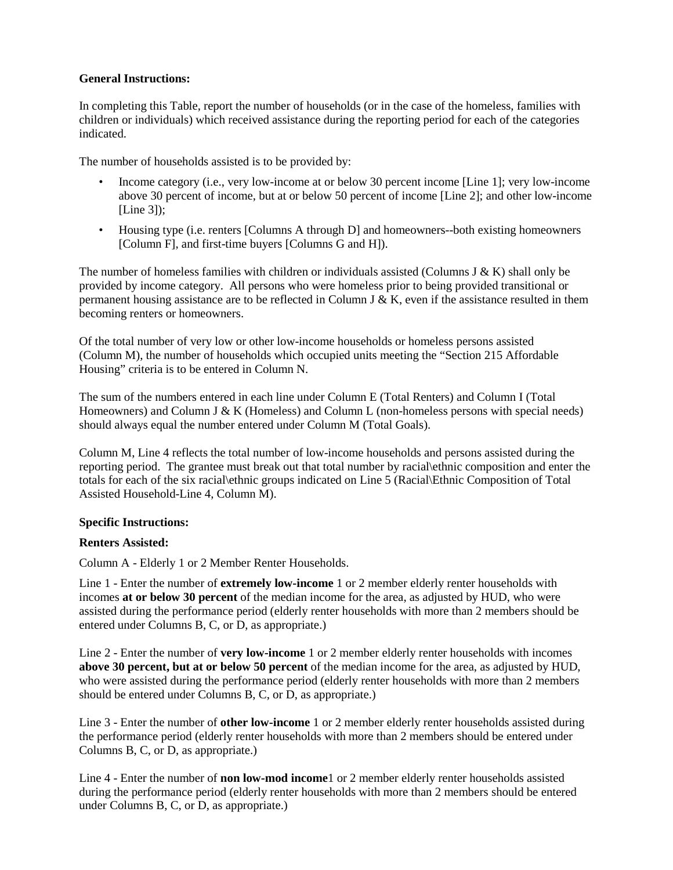# **General Instructions:**

In completing this Table, report the number of households (or in the case of the homeless, families with children or individuals) which received assistance during the reporting period for each of the categories indicated.

The number of households assisted is to be provided by:

- Income category (i.e., very low-income at or below 30 percent income [Line 1]; very low-income above 30 percent of income, but at or below 50 percent of income [Line 2]; and other low-income [Line 3]);
- Housing type (i.e. renters [Columns A through D] and homeowners--both existing homeowners [Column F], and first-time buyers [Columns G and H]).

The number of homeless families with children or individuals assisted (Columns J & K) shall only be provided by income category. All persons who were homeless prior to being provided transitional or permanent housing assistance are to be reflected in Column J & K, even if the assistance resulted in them becoming renters or homeowners.

Of the total number of very low or other low-income households or homeless persons assisted (Column M), the number of households which occupied units meeting the "Section 215 Affordable Housing" criteria is to be entered in Column N.

The sum of the numbers entered in each line under Column E (Total Renters) and Column I (Total Homeowners) and Column J & K (Homeless) and Column L (non-homeless persons with special needs) should always equal the number entered under Column M (Total Goals).

Column M, Line 4 reflects the total number of low-income households and persons assisted during the reporting period. The grantee must break out that total number by racial\ethnic composition and enter the totals for each of the six racial\ethnic groups indicated on Line 5 (Racial\Ethnic Composition of Total Assisted Household-Line 4, Column M).

## **Specific Instructions:**

## **Renters Assisted:**

Column A - Elderly 1 or 2 Member Renter Households.

Line 1 - Enter the number of **extremely low-income** 1 or 2 member elderly renter households with incomes **at or below 30 percent** of the median income for the area, as adjusted by HUD, who were assisted during the performance period (elderly renter households with more than 2 members should be entered under Columns B, C, or D, as appropriate.)

Line 2 - Enter the number of **very low-income** 1 or 2 member elderly renter households with incomes **above 30 percent, but at or below 50 percent** of the median income for the area, as adjusted by HUD, who were assisted during the performance period (elderly renter households with more than 2 members should be entered under Columns B, C, or D, as appropriate.)

Line 3 - Enter the number of **other low-income** 1 or 2 member elderly renter households assisted during the performance period (elderly renter households with more than 2 members should be entered under Columns B, C, or D, as appropriate.)

Line 4 - Enter the number of **non low-mod income**1 or 2 member elderly renter households assisted during the performance period (elderly renter households with more than 2 members should be entered under Columns B, C, or D, as appropriate.)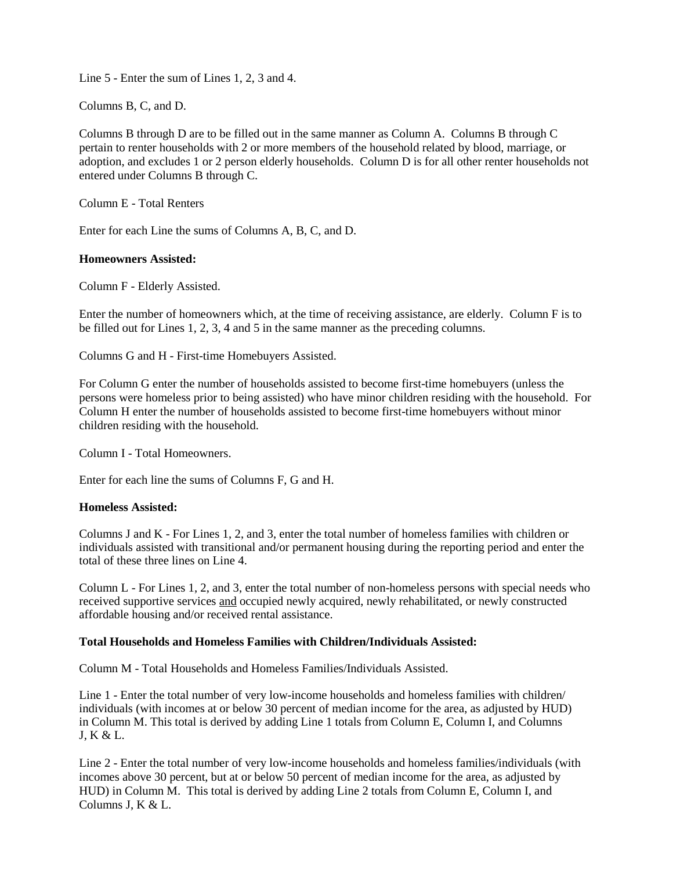Line 5 - Enter the sum of Lines 1, 2, 3 and 4.

Columns B, C, and D.

Columns B through D are to be filled out in the same manner as Column A. Columns B through C pertain to renter households with 2 or more members of the household related by blood, marriage, or adoption, and excludes 1 or 2 person elderly households. Column D is for all other renter households not entered under Columns B through C.

Column E - Total Renters

Enter for each Line the sums of Columns A, B, C, and D.

## **Homeowners Assisted:**

Column F - Elderly Assisted.

Enter the number of homeowners which, at the time of receiving assistance, are elderly. Column F is to be filled out for Lines 1, 2, 3, 4 and 5 in the same manner as the preceding columns.

Columns G and H - First-time Homebuyers Assisted.

For Column G enter the number of households assisted to become first-time homebuyers (unless the persons were homeless prior to being assisted) who have minor children residing with the household. For Column H enter the number of households assisted to become first-time homebuyers without minor children residing with the household.

Column I - Total Homeowners.

Enter for each line the sums of Columns F, G and H.

## **Homeless Assisted:**

Columns J and K - For Lines 1, 2, and 3, enter the total number of homeless families with children or individuals assisted with transitional and/or permanent housing during the reporting period and enter the total of these three lines on Line 4.

Column L - For Lines 1, 2, and 3, enter the total number of non-homeless persons with special needs who received supportive services and occupied newly acquired, newly rehabilitated, or newly constructed affordable housing and/or received rental assistance.

## **Total Households and Homeless Families with Children/Individuals Assisted:**

Column M - Total Households and Homeless Families/Individuals Assisted.

Line 1 - Enter the total number of very low-income households and homeless families with children/ individuals (with incomes at or below 30 percent of median income for the area, as adjusted by HUD) in Column M. This total is derived by adding Line 1 totals from Column E, Column I, and Columns J, K & L.

Line 2 - Enter the total number of very low-income households and homeless families/individuals (with incomes above 30 percent, but at or below 50 percent of median income for the area, as adjusted by HUD) in Column M. This total is derived by adding Line 2 totals from Column E, Column I, and Columns J, K & L.